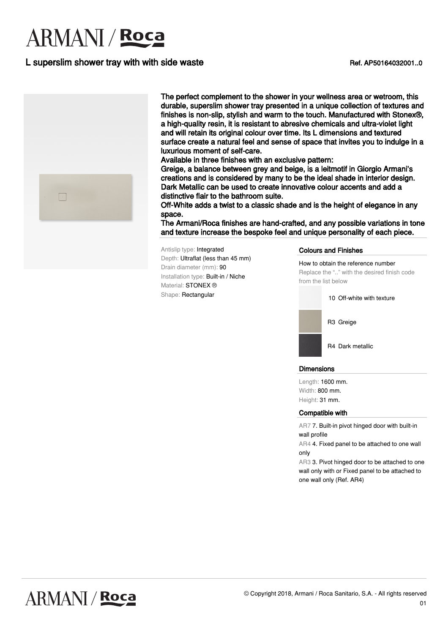# **ARMANI** / Roca

## L superslim shower tray with with side waste **Example 2018** Ref. AP50164032001..0



The perfect complement to the shower in your wellness area or wetroom, this durable, superslim shower tray presented in a unique collection of textures and finishes is non-slip, stylish and warm to the touch. Manufactured with Stonex®, a high-quality resin, it is resistant to abresive chemicals and ultra-violet light and will retain its original colour over time. Its L dimensions and textured surface create a natural feel and sense of space that invites you to indulge in a luxurious moment of self-care.

Available in three finishes with an exclusive pattern:

Greige, a balance between grey and beige, is a leitmotif in Giorgio Armani's creations and is considered by many to be the ideal shade in interior design. Dark Metallic can be used to create innovative colour accents and add a distinctive flair to the bathroom suite.

Off-White adds a twist to a classic shade and is the height of elegance in any space.

The Armani/Roca finishes are hand-crafted, and any possible variations in tone and texture increase the bespoke feel and unique personality of each piece.

Antislip type: Integrated Depth: Ultraflat (less than 45 mm) Drain diameter (mm): 90 Installation type: Built-in / Niche Material: **STONEX** ® Shape: Rectangular

#### Colours and Finishes

How to obtain the reference number Replace the ".." with the desired finish code from the list below

10 Off-white with texture



R4 Dark metallic

#### **Dimensions**

Length: 1600 mm. Width: 800 mm. Height: 31 mm.

#### Compatible with

AR7 7. Built-in pivot hinged door with built-in wall profile

AR4 4. Fixed panel to be attached to one wall only

AR3 3. Pivot hinged door to be attached to one wall only with or Fixed panel to be attached to one wall only (Ref. AR4)

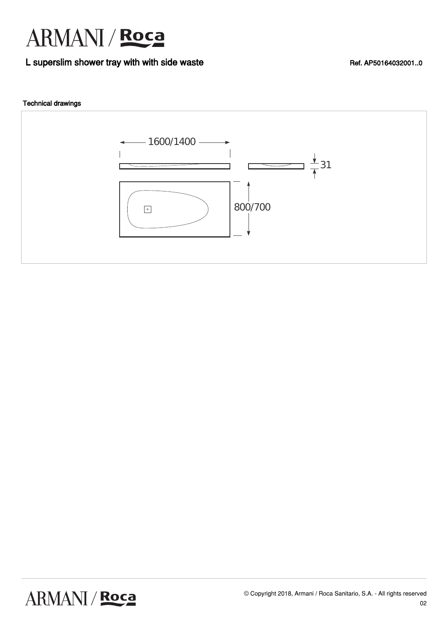

### L superslim shower tray with with side waste **Example 2016** Ref. AP50164032001..0

### Technical drawings